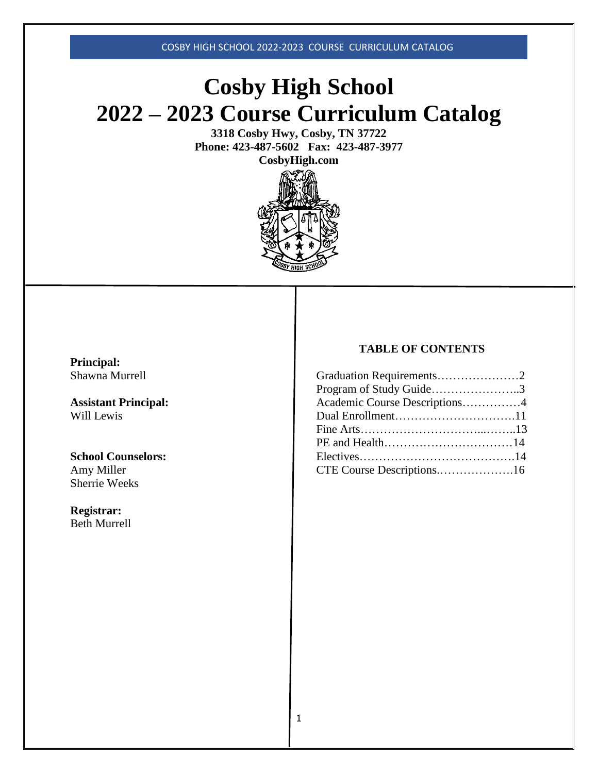# **Cosby High School 2022 – 2023 Course Curriculum Catalog**

**3318 Cosby Hwy, Cosby, TN 37722 Phone: 423-487-5602 Fax: 423-487-3977 CosbyHigh.com**



**Principal:** Shawna Murrell

**Assistant Principal:** Will Lewis

**School Counselors:** Amy Miller Sherrie Weeks

**Registrar:** Beth Murrell

# **TABLE OF CONTENTS**

| Graduation Requirements2      |  |
|-------------------------------|--|
| Program of Study Guide3       |  |
| Academic Course Descriptions4 |  |
| Dual Enrollment11             |  |
|                               |  |
|                               |  |
|                               |  |
| CTE Course Descriptions16     |  |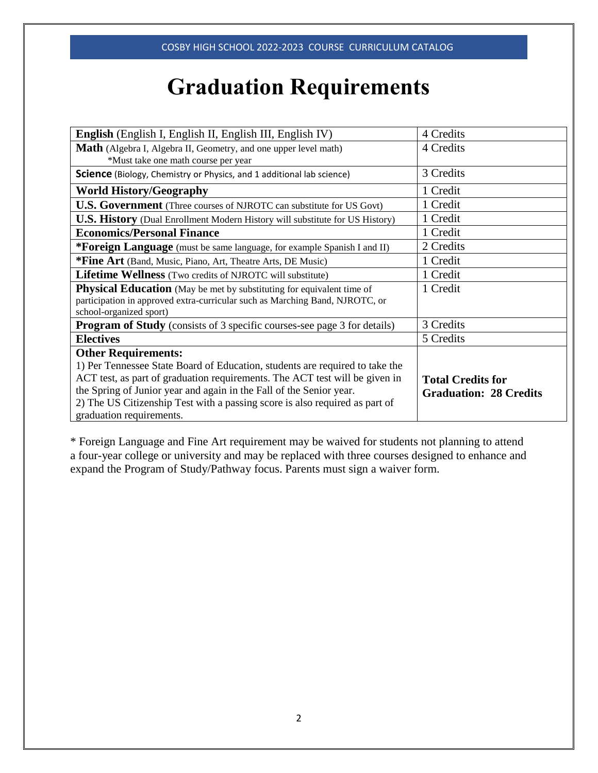# **Graduation Requirements**

| <b>English</b> (English I, English II, English III, English IV)                                                | 4 Credits                     |
|----------------------------------------------------------------------------------------------------------------|-------------------------------|
| <b>Math</b> (Algebra I, Algebra II, Geometry, and one upper level math)<br>*Must take one math course per year | 4 Credits                     |
| <b>Science</b> (Biology, Chemistry or Physics, and 1 additional lab science)                                   | 3 Credits                     |
| <b>World History/Geography</b>                                                                                 | 1 Credit                      |
| <b>U.S. Government</b> (Three courses of NJROTC can substitute for US Govt)                                    | 1 Credit                      |
| <b>U.S. History</b> (Dual Enrollment Modern History will substitute for US History)                            | 1 Credit                      |
| <b>Economics/Personal Finance</b>                                                                              | 1 Credit                      |
| <b>*Foreign Language</b> (must be same language, for example Spanish I and II)                                 | 2 Credits                     |
| *Fine Art (Band, Music, Piano, Art, Theatre Arts, DE Music)                                                    | 1 Credit                      |
| Lifetime Wellness (Two credits of NJROTC will substitute)                                                      | 1 Credit                      |
| <b>Physical Education</b> (May be met by substituting for equivalent time of                                   | 1 Credit                      |
| participation in approved extra-curricular such as Marching Band, NJROTC, or<br>school-organized sport)        |                               |
| <b>Program of Study</b> (consists of 3 specific courses-see page 3 for details)                                | 3 Credits                     |
| <b>Electives</b>                                                                                               | 5 Credits                     |
| <b>Other Requirements:</b>                                                                                     |                               |
| 1) Per Tennessee State Board of Education, students are required to take the                                   |                               |
| ACT test, as part of graduation requirements. The ACT test will be given in                                    | <b>Total Credits for</b>      |
| the Spring of Junior year and again in the Fall of the Senior year.                                            | <b>Graduation: 28 Credits</b> |
| 2) The US Citizenship Test with a passing score is also required as part of                                    |                               |
| graduation requirements.                                                                                       |                               |

\* Foreign Language and Fine Art requirement may be waived for students not planning to attend a four-year college or university and may be replaced with three courses designed to enhance and expand the Program of Study/Pathway focus. Parents must sign a waiver form.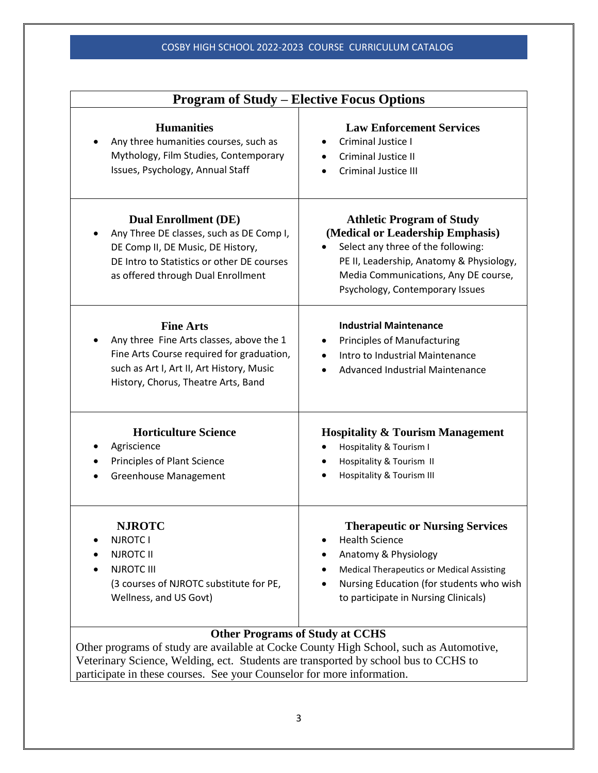| <b>Program of Study – Elective Focus Options</b>                                                                                                                                                 |                                                                                                                                                                                                                                   |  |
|--------------------------------------------------------------------------------------------------------------------------------------------------------------------------------------------------|-----------------------------------------------------------------------------------------------------------------------------------------------------------------------------------------------------------------------------------|--|
| <b>Humanities</b><br>Any three humanities courses, such as<br>Mythology, Film Studies, Contemporary<br>Issues, Psychology, Annual Staff                                                          | <b>Law Enforcement Services</b><br>Criminal Justice I<br>Criminal Justice II<br><b>Criminal Justice III</b>                                                                                                                       |  |
| <b>Dual Enrollment (DE)</b><br>Any Three DE classes, such as DE Comp I,<br>DE Comp II, DE Music, DE History,<br>DE Intro to Statistics or other DE courses<br>as offered through Dual Enrollment | <b>Athletic Program of Study</b><br>(Medical or Leadership Emphasis)<br>Select any three of the following:<br>PE II, Leadership, Anatomy & Physiology,<br>Media Communications, Any DE course,<br>Psychology, Contemporary Issues |  |
| <b>Fine Arts</b><br>Any three Fine Arts classes, above the 1<br>Fine Arts Course required for graduation,<br>such as Art I, Art II, Art History, Music<br>History, Chorus, Theatre Arts, Band    | <b>Industrial Maintenance</b><br><b>Principles of Manufacturing</b><br>Intro to Industrial Maintenance<br>Advanced Industrial Maintenance                                                                                         |  |
| <b>Horticulture Science</b><br>Agriscience<br>Principles of Plant Science<br><b>Greenhouse Management</b>                                                                                        | <b>Hospitality &amp; Tourism Management</b><br>Hospitality & Tourism I<br>Hospitality & Tourism II<br>Hospitality & Tourism III                                                                                                   |  |
| <b>NJROTC</b><br><b>NJROTC I</b><br><b>NJROTC II</b><br><b>NJROTC III</b><br>(3 courses of NJROTC substitute for PE,<br>Wellness, and US Govt)                                                   | <b>Therapeutic or Nursing Services</b><br><b>Health Science</b><br>Anatomy & Physiology<br><b>Medical Therapeutics or Medical Assisting</b><br>Nursing Education (for students who wish<br>to participate in Nursing Clinicals)   |  |
| <b>Other Programs of Study at CCHS</b><br>Other programs of study are available at Cocke County High School, such as Automotive                                                                  |                                                                                                                                                                                                                                   |  |

Other programs of study are available at Cocke County High School, such as Automotive, Veterinary Science, Welding, ect. Students are transported by school bus to CCHS to participate in these courses. See your Counselor for more information.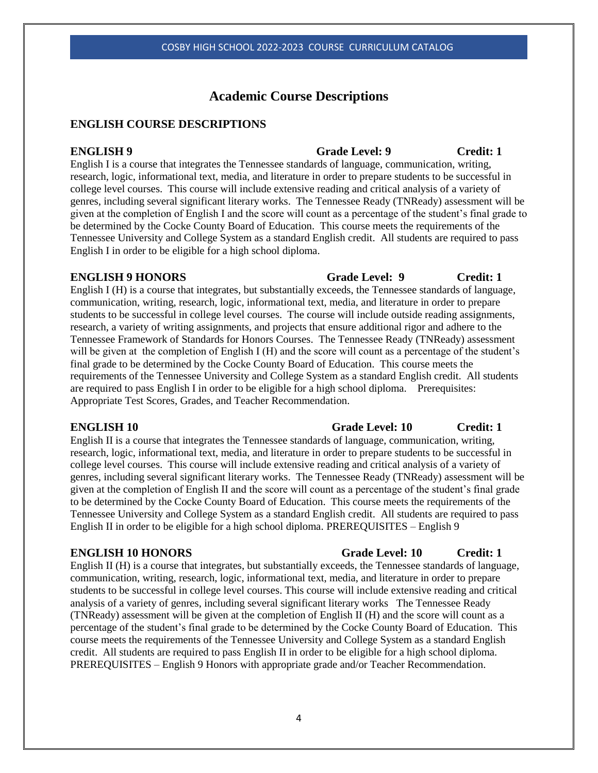# **Academic Course Descriptions**

# **ENGLISH COURSE DESCRIPTIONS**

# **ENGLISH 9** Grade Level: 9 Credit: 1

English I is a course that integrates the Tennessee standards of language, communication, writing, research, logic, informational text, media, and literature in order to prepare students to be successful in college level courses. This course will include extensive reading and critical analysis of a variety of genres, including several significant literary works. The Tennessee Ready (TNReady) assessment will be given at the completion of English I and the score will count as a percentage of the student's final grade to be determined by the Cocke County Board of Education. This course meets the requirements of the Tennessee University and College System as a standard English credit. All students are required to pass English I in order to be eligible for a high school diploma.

English I (H) is a course that integrates, but substantially exceeds, the Tennessee standards of language, communication, writing, research, logic, informational text, media, and literature in order to prepare students to be successful in college level courses. The course will include outside reading assignments, research, a variety of writing assignments, and projects that ensure additional rigor and adhere to the Tennessee Framework of Standards for Honors Courses. The Tennessee Ready (TNReady) assessment will be given at the completion of English I (H) and the score will count as a percentage of the student's final grade to be determined by the Cocke County Board of Education. This course meets the requirements of the Tennessee University and College System as a standard English credit. All students are required to pass English I in order to be eligible for a high school diploma. Prerequisites: Appropriate Test Scores, Grades, and Teacher Recommendation.

English II is a course that integrates the Tennessee standards of language, communication, writing, research, logic, informational text, media, and literature in order to prepare students to be successful in college level courses. This course will include extensive reading and critical analysis of a variety of genres, including several significant literary works. The Tennessee Ready (TNReady) assessment will be given at the completion of English II and the score will count as a percentage of the student's final grade to be determined by the Cocke County Board of Education. This course meets the requirements of the Tennessee University and College System as a standard English credit. All students are required to pass English II in order to be eligible for a high school diploma. PREREQUISITES – English 9

# **ENGLISH 10 HONORS Grade Level: 10 Credit: 1**

English II (H) is a course that integrates, but substantially exceeds, the Tennessee standards of language, communication, writing, research, logic, informational text, media, and literature in order to prepare students to be successful in college level courses. This course will include extensive reading and critical analysis of a variety of genres, including several significant literary works The Tennessee Ready (TNReady) assessment will be given at the completion of English II (H) and the score will count as a percentage of the student's final grade to be determined by the Cocke County Board of Education. This course meets the requirements of the Tennessee University and College System as a standard English credit. All students are required to pass English II in order to be eligible for a high school diploma. PREREQUISITES – English 9 Honors with appropriate grade and/or Teacher Recommendation.

# **ENGLISH 10 Grade Level: 10 Credit: 1**

# **ENGLISH 9 HONORS Grade Level: 9 Credit: 1**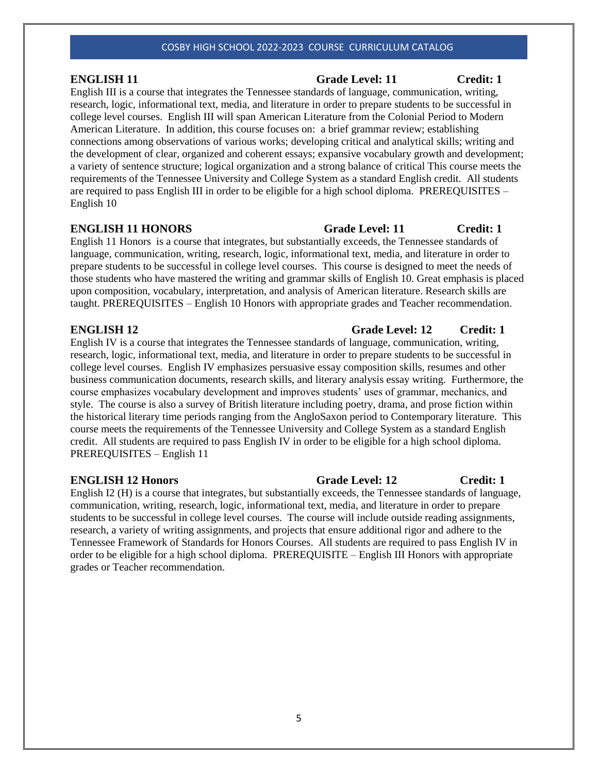English III is a course that integrates the Tennessee standards of language, communication, writing, research, logic, informational text, media, and literature in order to prepare students to be successful in college level courses. English III will span American Literature from the Colonial Period to Modern American Literature. In addition, this course focuses on: a brief grammar review; establishing connections among observations of various works; developing critical and analytical skills; writing and the development of clear, organized and coherent essays; expansive vocabulary growth and development; a variety of sentence structure; logical organization and a strong balance of critical This course meets the requirements of the Tennessee University and College System as a standard English credit. All students are required to pass English III in order to be eligible for a high school diploma. PREREQUISITES – English 10

# **ENGLISH 11 HONORS Grade Level: 11 Credit: 1**

English 11 Honors is a course that integrates, but substantially exceeds, the Tennessee standards of language, communication, writing, research, logic, informational text, media, and literature in order to prepare students to be successful in college level courses. This course is designed to meet the needs of those students who have mastered the writing and grammar skills of English 10. Great emphasis is placed upon composition, vocabulary, interpretation, and analysis of American literature. Research skills are taught. PREREQUISITES – English 10 Honors with appropriate grades and Teacher recommendation.

English IV is a course that integrates the Tennessee standards of language, communication, writing, research, logic, informational text, media, and literature in order to prepare students to be successful in college level courses. English IV emphasizes persuasive essay composition skills, resumes and other business communication documents, research skills, and literary analysis essay writing. Furthermore, the course emphasizes vocabulary development and improves students' uses of grammar, mechanics, and style. The course is also a survey of British literature including poetry, drama, and prose fiction within the historical literary time periods ranging from the AngloSaxon period to Contemporary literature. This course meets the requirements of the Tennessee University and College System as a standard English credit. All students are required to pass English IV in order to be eligible for a high school diploma. PREREQUISITES – English 11

English I2 (H) is a course that integrates, but substantially exceeds, the Tennessee standards of language, communication, writing, research, logic, informational text, media, and literature in order to prepare students to be successful in college level courses. The course will include outside reading assignments, research, a variety of writing assignments, and projects that ensure additional rigor and adhere to the Tennessee Framework of Standards for Honors Courses. All students are required to pass English IV in order to be eligible for a high school diploma. PREREQUISITE – English III Honors with appropriate grades or Teacher recommendation.

# **ENGLISH 11 Grade Level: 11 Credit: 1**

# **ENGLISH 12 Grade Level: 12 Credit: 1**

# **ENGLISH 12 Honors Grade Level: 12 Credit: 1**

5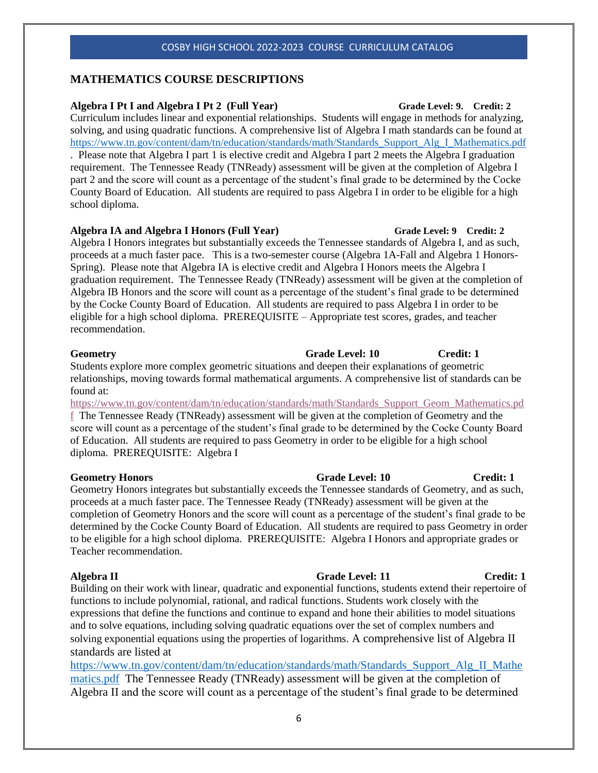# **MATHEMATICS COURSE DESCRIPTIONS**

# **Algebra I Pt I and Algebra I Pt 2 (Full Year) Grade Level: 9. Credit: 2**

Curriculum includes linear and exponential relationships. Students will engage in methods for analyzing, solving, and using quadratic functions. A comprehensive list of Algebra I math standards can be found at [https://www.tn.gov/content/dam/tn/education/standards/math/Standards\\_Support\\_Alg\\_I\\_Mathematics.pdf](https://www.tn.gov/content/dam/tn/education/standards/math/Standards_Support_Alg_I_Mathematics.pdf) . Please note that Algebra I part 1 is elective credit and Algebra I part 2 meets the Algebra I graduation requirement. The Tennessee Ready (TNReady) assessment will be given at the completion of Algebra I part 2 and the score will count as a percentage of the student's final grade to be determined by the Cocke County Board of Education. All students are required to pass Algebra I in order to be eligible for a high school diploma.

# **Algebra IA and Algebra I Honors (Full Year) Grade Level: 9 Credit: 2**

Algebra I Honors integrates but substantially exceeds the Tennessee standards of Algebra I, and as such, proceeds at a much faster pace. This is a two-semester course (Algebra 1A-Fall and Algebra 1 Honors-Spring). Please note that Algebra IA is elective credit and Algebra I Honors meets the Algebra I graduation requirement. The Tennessee Ready (TNReady) assessment will be given at the completion of Algebra IB Honors and the score will count as a percentage of the student's final grade to be determined by the Cocke County Board of Education. All students are required to pass Algebra I in order to be eligible for a high school diploma. PREREQUISITE – Appropriate test scores, grades, and teacher recommendation.

# **Grade Level: 10 Credit: 1** Credit: 1

Students explore more complex geometric situations and deepen their explanations of geometric relationships, moving towards formal mathematical arguments. A comprehensive list of standards can be found at:

[https://www.tn.gov/content/dam/tn/education/standards/math/Standards\\_Support\\_Geom\\_Mathematics.pd](https://www.tn.gov/content/dam/tn/education/standards/math/Standards_Support_Geom_Mathematics.pdf) [f](https://www.tn.gov/content/dam/tn/education/standards/math/Standards_Support_Geom_Mathematics.pdf) The Tennessee Ready (TNReady) assessment will be given at the completion of Geometry and the score will count as a percentage of the student's final grade to be determined by the Cocke County Board of Education. All students are required to pass Geometry in order to be eligible for a high school diploma. PREREQUISITE: Algebra I

# **Geometry Honors Grade Level: 10 Credit: 1**

Geometry Honors integrates but substantially exceeds the Tennessee standards of Geometry, and as such, proceeds at a much faster pace. The Tennessee Ready (TNReady) assessment will be given at the completion of Geometry Honors and the score will count as a percentage of the student's final grade to be determined by the Cocke County Board of Education. All students are required to pass Geometry in order to be eligible for a high school diploma. PREREQUISITE: Algebra I Honors and appropriate grades or Teacher recommendation.

# **Algebra II Grade Level: 11 Credit: 1**

Building on their work with linear, quadratic and exponential functions, students extend their repertoire of functions to include polynomial, rational, and radical functions. Students work closely with the expressions that define the functions and continue to expand and hone their abilities to model situations and to solve equations, including solving quadratic equations over the set of complex numbers and solving exponential equations using the properties of logarithms. A comprehensive list of Algebra II standards are listed at

[https://www.tn.gov/content/dam/tn/education/standards/math/Standards\\_Support\\_Alg\\_II\\_Mathe](https://www.tn.gov/content/dam/tn/education/standards/math/Standards_Support_Alg_II_Mathematics.pdf) [matics.pdf](https://www.tn.gov/content/dam/tn/education/standards/math/Standards_Support_Alg_II_Mathematics.pdf) The Tennessee Ready (TNReady) assessment will be given at the completion of Algebra II and the score will count as a percentage of the student's final grade to be determined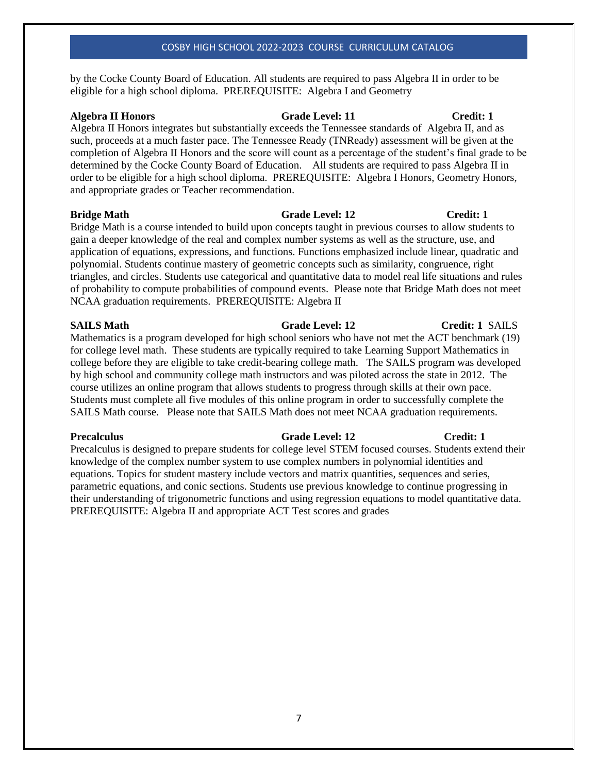by the Cocke County Board of Education. All students are required to pass Algebra II in order to be eligible for a high school diploma. PREREQUISITE: Algebra I and Geometry

# **Algebra II Honors Grade Level: 11 Credit: 1**

Algebra II Honors integrates but substantially exceeds the Tennessee standards of Algebra II, and as such, proceeds at a much faster pace. The Tennessee Ready (TNReady) assessment will be given at the completion of Algebra II Honors and the score will count as a percentage of the student's final grade to be determined by the Cocke County Board of Education. All students are required to pass Algebra II in order to be eligible for a high school diploma. PREREQUISITE: Algebra I Honors, Geometry Honors, and appropriate grades or Teacher recommendation.

**Bridge Math Grade Level: 12 Credit: 1** 

Bridge Math is a course intended to build upon concepts taught in previous courses to allow students to gain a deeper knowledge of the real and complex number systems as well as the structure, use, and application of equations, expressions, and functions. Functions emphasized include linear, quadratic and polynomial. Students continue mastery of geometric concepts such as similarity, congruence, right triangles, and circles. Students use categorical and quantitative data to model real life situations and rules of probability to compute probabilities of compound events. Please note that Bridge Math does not meet NCAA graduation requirements. PREREQUISITE: Algebra II

Mathematics is a program developed for high school seniors who have not met the ACT benchmark (19) for college level math. These students are typically required to take Learning Support Mathematics in college before they are eligible to take credit-bearing college math. The SAILS program was developed by high school and community college math instructors and was piloted across the state in 2012. The course utilizes an online program that allows students to progress through skills at their own pace. Students must complete all five modules of this online program in order to successfully complete the SAILS Math course. Please note that SAILS Math does not meet NCAA graduation requirements.

Precalculus is designed to prepare students for college level STEM focused courses. Students extend their knowledge of the complex number system to use complex numbers in polynomial identities and equations. Topics for student mastery include vectors and matrix quantities, sequences and series, parametric equations, and conic sections. Students use previous knowledge to continue progressing in their understanding of trigonometric functions and using regression equations to model quantitative data. PREREQUISITE: Algebra II and appropriate ACT Test scores and grades

# **SAILS Math Grade Level: 12 Credit: 1** SAILS

# **Precalculus Grade Level: 12** Credit: 1

### 7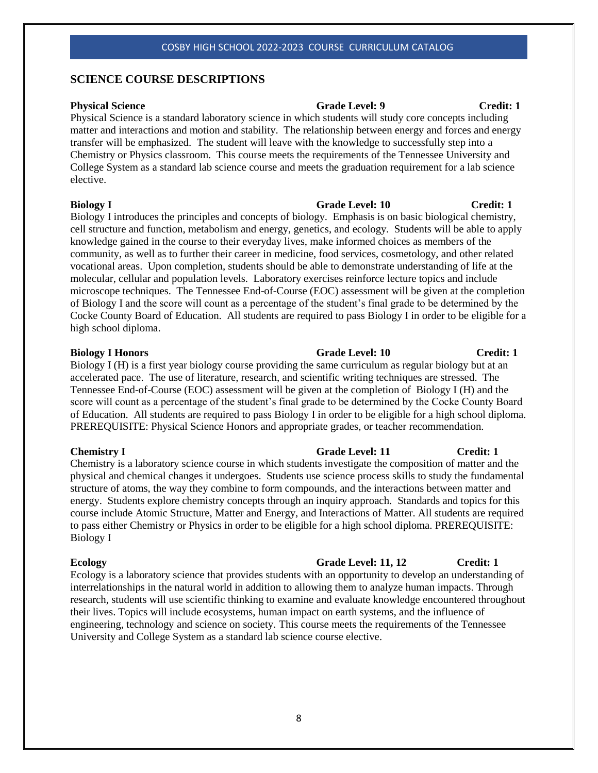# **SCIENCE COURSE DESCRIPTIONS**

### **Physical Science Grade Level: 9 Grade Level: 9 Credit: 1**

Physical Science is a standard laboratory science in which students will study core concepts including matter and interactions and motion and stability. The relationship between energy and forces and energy transfer will be emphasized. The student will leave with the knowledge to successfully step into a Chemistry or Physics classroom. This course meets the requirements of the Tennessee University and College System as a standard lab science course and meets the graduation requirement for a lab science elective.

### **Biology I** Grade Level: 10 Credit: 1

Biology I introduces the principles and concepts of biology. Emphasis is on basic biological chemistry, cell structure and function, metabolism and energy, genetics, and ecology. Students will be able to apply knowledge gained in the course to their everyday lives, make informed choices as members of the community, as well as to further their career in medicine, food services, cosmetology, and other related vocational areas. Upon completion, students should be able to demonstrate understanding of life at the molecular, cellular and population levels. Laboratory exercises reinforce lecture topics and include microscope techniques. The Tennessee End-of-Course (EOC) assessment will be given at the completion of Biology I and the score will count as a percentage of the student's final grade to be determined by the Cocke County Board of Education. All students are required to pass Biology I in order to be eligible for a high school diploma.

### **Biology I Honors Grade Level: 10 Credit: 1**

Biology I (H) is a first year biology course providing the same curriculum as regular biology but at an accelerated pace. The use of literature, research, and scientific writing techniques are stressed. The Tennessee End-of-Course (EOC) assessment will be given at the completion of Biology I (H) and the score will count as a percentage of the student's final grade to be determined by the Cocke County Board of Education. All students are required to pass Biology I in order to be eligible for a high school diploma. PREREQUISITE: Physical Science Honors and appropriate grades, or teacher recommendation.

**Chemistry I Grade Level: 11 Credit: 1** Chemistry is a laboratory science course in which students investigate the composition of matter and the physical and chemical changes it undergoes. Students use science process skills to study the fundamental structure of atoms, the way they combine to form compounds, and the interactions between matter and energy. Students explore chemistry concepts through an inquiry approach. Standards and topics for this course include Atomic Structure, Matter and Energy, and Interactions of Matter. All students are required to pass either Chemistry or Physics in order to be eligible for a high school diploma. PREREQUISITE: Biology I

# **Ecology** Grade Level: 11, 12 Credit: 1

Ecology is a laboratory science that provides students with an opportunity to develop an understanding of interrelationships in the natural world in addition to allowing them to analyze human impacts. Through research, students will use scientific thinking to examine and evaluate knowledge encountered throughout their lives. Topics will include ecosystems, human impact on earth systems, and the influence of engineering, technology and science on society. This course meets the requirements of the Tennessee University and College System as a standard lab science course elective.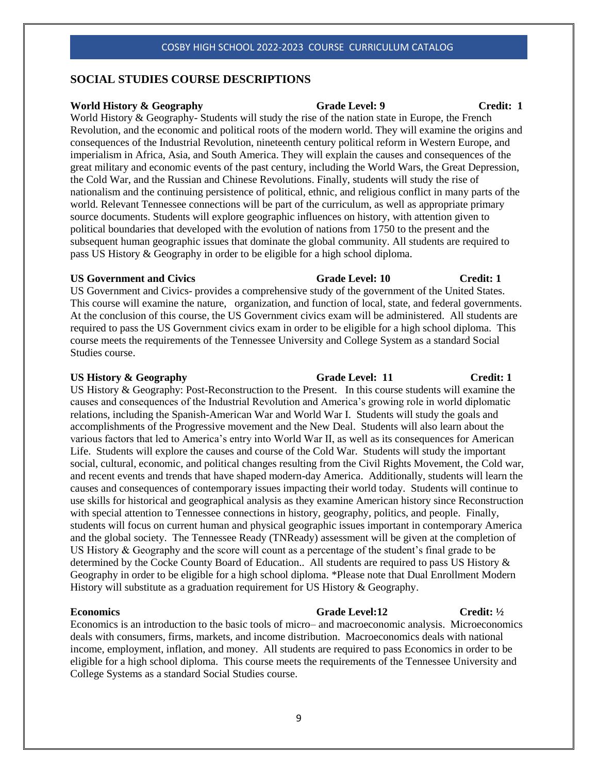# **SOCIAL STUDIES COURSE DESCRIPTIONS**

### **World History & Geography Grade Level: 9 Credit: 1**

World History & Geography- Students will study the rise of the nation state in Europe, the French Revolution, and the economic and political roots of the modern world. They will examine the origins and consequences of the Industrial Revolution, nineteenth century political reform in Western Europe, and imperialism in Africa, Asia, and South America. They will explain the causes and consequences of the great military and economic events of the past century, including the World Wars, the Great Depression, the Cold War, and the Russian and Chinese Revolutions. Finally, students will study the rise of nationalism and the continuing persistence of political, ethnic, and religious conflict in many parts of the world. Relevant Tennessee connections will be part of the curriculum, as well as appropriate primary source documents. Students will explore geographic influences on history, with attention given to political boundaries that developed with the evolution of nations from 1750 to the present and the subsequent human geographic issues that dominate the global community. All students are required to pass US History & Geography in order to be eligible for a high school diploma.

### US Government and Civics **Grade Level: 10** Credit: 1

US Government and Civics- provides a comprehensive study of the government of the United States. This course will examine the nature, organization, and function of local, state, and federal governments. At the conclusion of this course, the US Government civics exam will be administered. All students are required to pass the US Government civics exam in order to be eligible for a high school diploma. This course meets the requirements of the Tennessee University and College System as a standard Social Studies course.

# **US History & Geography Grade Level: 11 Credit: 1**

US History & Geography: Post-Reconstruction to the Present. In this course students will examine the causes and consequences of the Industrial Revolution and America's growing role in world diplomatic relations, including the Spanish-American War and World War I. Students will study the goals and accomplishments of the Progressive movement and the New Deal. Students will also learn about the various factors that led to America's entry into World War II, as well as its consequences for American Life. Students will explore the causes and course of the Cold War. Students will study the important social, cultural, economic, and political changes resulting from the Civil Rights Movement, the Cold war, and recent events and trends that have shaped modern-day America. Additionally, students will learn the causes and consequences of contemporary issues impacting their world today. Students will continue to use skills for historical and geographical analysis as they examine American history since Reconstruction with special attention to Tennessee connections in history, geography, politics, and people. Finally, students will focus on current human and physical geographic issues important in contemporary America and the global society. The Tennessee Ready (TNReady) assessment will be given at the completion of US History & Geography and the score will count as a percentage of the student's final grade to be determined by the Cocke County Board of Education.. All students are required to pass US History & Geography in order to be eligible for a high school diploma. \*Please note that Dual Enrollment Modern History will substitute as a graduation requirement for US History & Geography.

### **Economics Grade Level:12 Credit:**  $\frac{1}{2}$

Economics is an introduction to the basic tools of micro– and macroeconomic analysis. Microeconomics deals with consumers, firms, markets, and income distribution. Macroeconomics deals with national income, employment, inflation, and money. All students are required to pass Economics in order to be eligible for a high school diploma. This course meets the requirements of the Tennessee University and College Systems as a standard Social Studies course.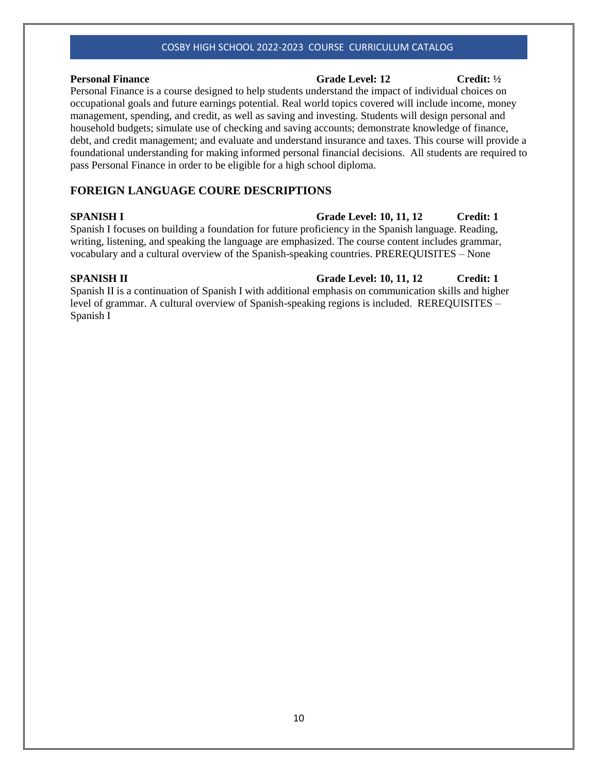### **Personal Finance Credit:**  $\frac{1}{2}$  Credit:  $\frac{1}{2}$  Credit:  $\frac{1}{2}$

# Personal Finance is a course designed to help students understand the impact of individual choices on occupational goals and future earnings potential. Real world topics covered will include income, money management, spending, and credit, as well as saving and investing. Students will design personal and household budgets; simulate use of checking and saving accounts; demonstrate knowledge of finance, debt, and credit management; and evaluate and understand insurance and taxes. This course will provide a foundational understanding for making informed personal financial decisions. All students are required to pass Personal Finance in order to be eligible for a high school diploma.

# **FOREIGN LANGUAGE COURE DESCRIPTIONS**

Spanish I focuses on building a foundation for future proficiency in the Spanish language. Reading, writing, listening, and speaking the language are emphasized. The course content includes grammar, vocabulary and a cultural overview of the Spanish-speaking countries. PREREQUISITES – None

# **SPANISH II Grade Level: 10, 11, 12 Credit: 1**

Spanish II is a continuation of Spanish I with additional emphasis on communication skills and higher level of grammar. A cultural overview of Spanish-speaking regions is included. REREQUISITES – Spanish I

# **SPANISH I** Grade Level: 10, 11, 12 Credit: 1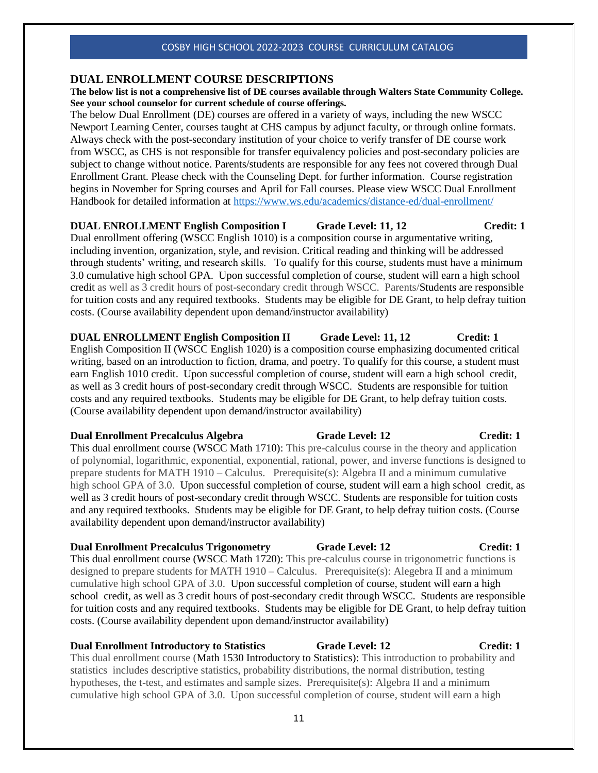# **DUAL ENROLLMENT COURSE DESCRIPTIONS**

**The below list is not a comprehensive list of DE courses available through Walters State Community College. See your school counselor for current schedule of course offerings.**

The below Dual Enrollment (DE) courses are offered in a variety of ways, including the new WSCC Newport Learning Center, courses taught at CHS campus by adjunct faculty, or through online formats. Always check with the post-secondary institution of your choice to verify transfer of DE course work from WSCC, as CHS is not responsible for transfer equivalency policies and post-secondary policies are subject to change without notice. Parents/students are responsible for any fees not covered through Dual Enrollment Grant. Please check with the Counseling Dept. for further information. Course registration begins in November for Spring courses and April for Fall courses. Please view WSCC Dual Enrollment Handbook for detailed information at<https://www.ws.edu/academics/distance-ed/dual-enrollment/>

**DUAL ENROLLMENT English Composition I Grade Level: 11, 12 Credit: 1** Dual enrollment offering (WSCC English 1010) is a composition course in argumentative writing, including invention, organization, style, and revision. Critical reading and thinking will be addressed through students' writing, and research skills. To qualify for this course, students must have a minimum 3.0 cumulative high school GPA. Upon successful completion of course, student will earn a high school credit as well as 3 credit hours of post-secondary credit through WSCC. Parents/Students are responsible for tuition costs and any required textbooks. Students may be eligible for DE Grant, to help defray tuition costs. (Course availability dependent upon demand/instructor availability)

**DUAL ENROLLMENT English Composition II Grade Level: 11, 12 Credit: 1** English Composition II (WSCC English 1020) is a composition course emphasizing documented critical writing, based on an introduction to fiction, drama, and poetry. To qualify for this course, a student must earn English 1010 credit. Upon successful completion of course, student will earn a high school credit, as well as 3 credit hours of post-secondary credit through WSCC. Students are responsible for tuition costs and any required textbooks. Students may be eligible for DE Grant, to help defray tuition costs. (Course availability dependent upon demand/instructor availability)

### **Dual Enrollment Precalculus Algebra** Grade Level: 12 Credit: 1

This dual enrollment course (WSCC Math 1710): This pre-calculus course in the theory and application of polynomial, logarithmic, exponential, exponential, rational, power, and inverse functions is designed to prepare students for MATH 1910 – Calculus. Prerequisite(s): Algebra II and a minimum cumulative high school GPA of 3.0. Upon successful completion of course, student will earn a high school credit, as well as 3 credit hours of post-secondary credit through WSCC. Students are responsible for tuition costs and any required textbooks. Students may be eligible for DE Grant, to help defray tuition costs. (Course availability dependent upon demand/instructor availability)

# **Dual Enrollment Precalculus Trigonometry Grade Level: 12 Credit: 1**

This dual enrollment course (WSCC Math 1720): This pre-calculus course in trigonometric functions is designed to prepare students for MATH 1910 – Calculus. Prerequisite(s): Alegebra II and a minimum cumulative high school GPA of 3.0. Upon successful completion of course, student will earn a high school credit, as well as 3 credit hours of post-secondary credit through WSCC. Students are responsible for tuition costs and any required textbooks. Students may be eligible for DE Grant, to help defray tuition costs. (Course availability dependent upon demand/instructor availability)

### **Dual Enrollment Introductory to Statistics 6 Grade Level: 12 Credit: 1 Credit: 1**

This dual enrollment course (Math 1530 Introductory to Statistics): This introduction to probability and statistics includes descriptive statistics, probability distributions, the normal distribution, testing hypotheses, the t-test, and estimates and sample sizes. Prerequisite(s): Algebra II and a minimum cumulative high school GPA of 3.0. Upon successful completion of course, student will earn a high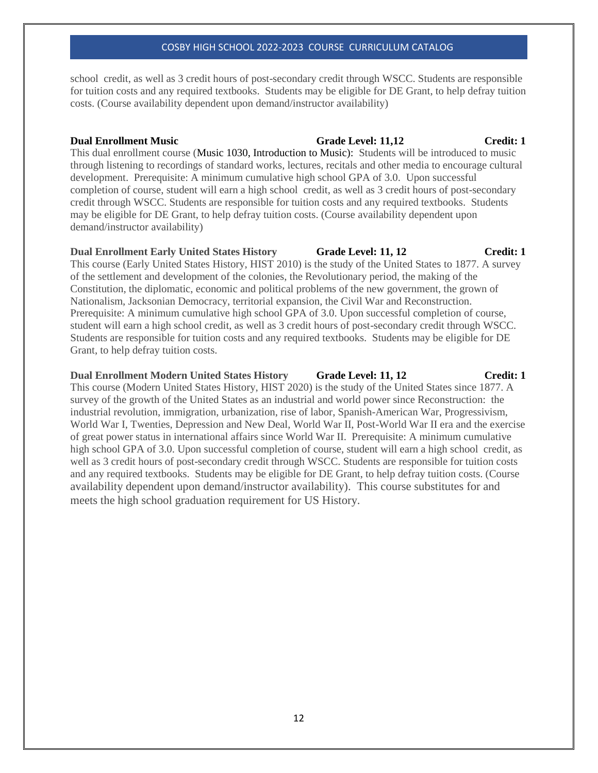school credit, as well as 3 credit hours of post-secondary credit through WSCC. Students are responsible for tuition costs and any required textbooks. Students may be eligible for DE Grant, to help defray tuition costs. (Course availability dependent upon demand/instructor availability)

This dual enrollment course (Music 1030, Introduction to Music): Students will be introduced to music through listening to recordings of standard works, lectures, recitals and other media to encourage cultural development. Prerequisite: A minimum cumulative high school GPA of 3.0. Upon successful completion of course, student will earn a high school credit, as well as 3 credit hours of post-secondary credit through WSCC. Students are responsible for tuition costs and any required textbooks. Students may be eligible for DE Grant, to help defray tuition costs. (Course availability dependent upon demand/instructor availability)

## **Dual Enrollment Early United States History 6 Grade Level: 11, 12 Credit: 1**

This course (Early United States History, HIST 2010) is the study of the United States to 1877. A survey of the settlement and development of the colonies, the Revolutionary period, the making of the Constitution, the diplomatic, economic and political problems of the new government, the grown of Nationalism, Jacksonian Democracy, territorial expansion, the Civil War and Reconstruction. Prerequisite: A minimum cumulative high school GPA of 3.0. Upon successful completion of course, student will earn a high school credit, as well as 3 credit hours of post-secondary credit through WSCC. Students are responsible for tuition costs and any required textbooks. Students may be eligible for DE Grant, to help defray tuition costs.

# **Dual Enrollment Modern United States History Grade Level: 11, 12 Credit: 1**

This course (Modern United States History, HIST 2020) is the study of the United States since 1877. A survey of the growth of the United States as an industrial and world power since Reconstruction: the industrial revolution, immigration, urbanization, rise of labor, Spanish-American War, Progressivism, World War I, Twenties, Depression and New Deal, World War II, Post-World War II era and the exercise of great power status in international affairs since World War II. Prerequisite: A minimum cumulative high school GPA of 3.0. Upon successful completion of course, student will earn a high school credit, as well as 3 credit hours of post-secondary credit through WSCC. Students are responsible for tuition costs and any required textbooks. Students may be eligible for DE Grant, to help defray tuition costs. (Course availability dependent upon demand/instructor availability). This course substitutes for and meets the high school graduation requirement for US History.

# **Dual Enrollment Music Grade Level: 11,12 Credit: 1**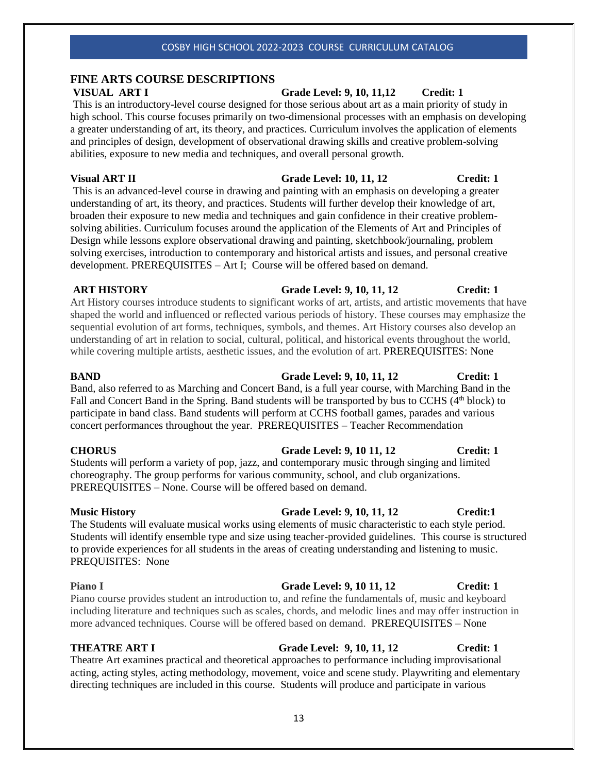# **FINE ARTS COURSE DESCRIPTIONS**

This is an introductory-level course designed for those serious about art as a main priority of study in high school. This course focuses primarily on two-dimensional processes with an emphasis on developing a greater understanding of art, its theory, and practices. Curriculum involves the application of elements and principles of design, development of observational drawing skills and creative problem-solving abilities, exposure to new media and techniques, and overall personal growth.

# **Visual ART II Grade Level: 10, 11, 12 Credit: 1**

This is an advanced-level course in drawing and painting with an emphasis on developing a greater understanding of art, its theory, and practices. Students will further develop their knowledge of art, broaden their exposure to new media and techniques and gain confidence in their creative problemsolving abilities. Curriculum focuses around the application of the Elements of Art and Principles of Design while lessons explore observational drawing and painting, sketchbook/journaling, problem solving exercises, introduction to contemporary and historical artists and issues, and personal creative development. PREREQUISITES – Art I; Course will be offered based on demand.

# **ART HISTORY Grade Level: 9, 10, 11, 12 Credit: 1**

Art History courses introduce students to significant works of art, artists, and artistic movements that have shaped the world and influenced or reflected various periods of history. These courses may emphasize the sequential evolution of art forms, techniques, symbols, and themes. Art History courses also develop an understanding of art in relation to social, cultural, political, and historical events throughout the world, while covering multiple artists, aesthetic issues, and the evolution of art. PREREQUISITES: None

Band, also referred to as Marching and Concert Band, is a full year course, with Marching Band in the Fall and Concert Band in the Spring. Band students will be transported by bus to CCHS (4<sup>th</sup> block) to participate in band class. Band students will perform at CCHS football games, parades and various concert performances throughout the year. PREREQUISITES – Teacher Recommendation

# **CHORUS Grade Level: 9, 10 11, 12 Credit: 1**

Students will perform a variety of pop, jazz, and contemporary music through singing and limited choreography. The group performs for various community, school, and club organizations. PREREQUISITES – None. Course will be offered based on demand.

# **Music History Grade Level: 9, 10, 11, 12 Credit:1**

The Students will evaluate musical works using elements of music characteristic to each style period. Students will identify ensemble type and size using teacher-provided guidelines. This course is structured to provide experiences for all students in the areas of creating understanding and listening to music. PREQUISITES: None

Piano course provides student an introduction to, and refine the fundamentals of, music and keyboard including literature and techniques such as scales, chords, and melodic lines and may offer instruction in more advanced techniques. Course will be offered based on demand.PREREQUISITES – None

# **THEATRE ART I Grade Level: 9, 10, 11, 12 Credit: 1**

Theatre Art examines practical and theoretical approaches to performance including improvisational acting, acting styles, acting methodology, movement, voice and scene study. Playwriting and elementary directing techniques are included in this course. Students will produce and participate in various

# 13

# **VISUAL ART I Grade Level: 9, 10, 11,12 Credit: 1**

# **BAND Grade Level: 9, 10, 11, 12 Credit: 1**

# **Piano I Crade Level: 9, 10 11, 12 Credit: 1**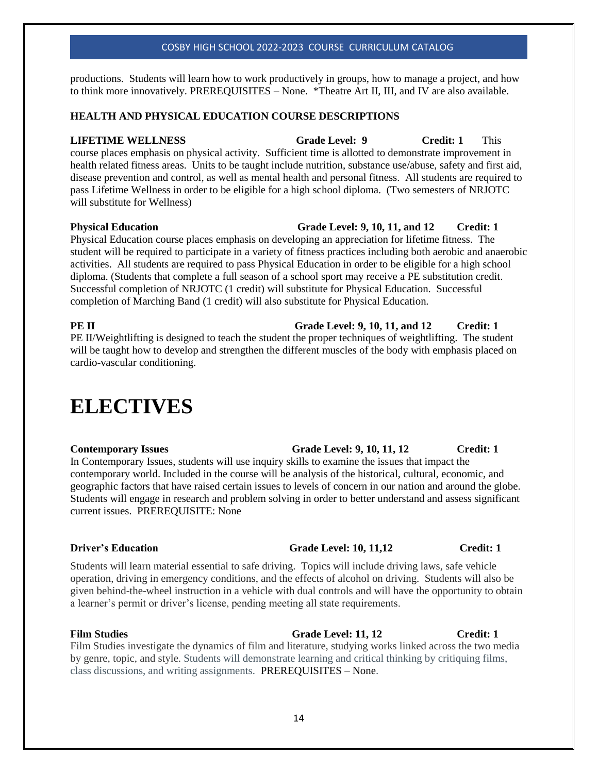productions. Students will learn how to work productively in groups, how to manage a project, and how to think more innovatively. PREREQUISITES – None. \*Theatre Art II, III, and IV are also available.

# **HEALTH AND PHYSICAL EDUCATION COURSE DESCRIPTIONS**

**LIFETIME WELLNESS Grade Level: 9 Credit: 1** This course places emphasis on physical activity. Sufficient time is allotted to demonstrate improvement in health related fitness areas. Units to be taught include nutrition, substance use/abuse, safety and first aid, disease prevention and control, as well as mental health and personal fitness. All students are required to pass Lifetime Wellness in order to be eligible for a high school diploma. (Two semesters of NRJOTC will substitute for Wellness)

### **Physical Education Grade Level: 9, 10, 11, and 12 Credit: 1**

Physical Education course places emphasis on developing an appreciation for lifetime fitness. The student will be required to participate in a variety of fitness practices including both aerobic and anaerobic activities. All students are required to pass Physical Education in order to be eligible for a high school diploma. (Students that complete a full season of a school sport may receive a PE substitution credit. Successful completion of NRJOTC (1 credit) will substitute for Physical Education. Successful completion of Marching Band (1 credit) will also substitute for Physical Education.

PE II/Weightlifting is designed to teach the student the proper techniques of weightlifting. The student will be taught how to develop and strengthen the different muscles of the body with emphasis placed on cardio-vascular conditioning.

# **ELECTIVES**

In Contemporary Issues, students will use inquiry skills to examine the issues that impact the contemporary world. Included in the course will be analysis of the historical, cultural, economic, and geographic factors that have raised certain issues to levels of concern in our nation and around the globe. Students will engage in research and problem solving in order to better understand and assess significant current issues. PREREQUISITE: None

### **Driver's Education** Grade Level: 10, 11,12 Credit: 1

Students will learn material essential to safe driving. Topics will include driving laws, safe vehicle operation, driving in emergency conditions, and the effects of alcohol on driving. Students will also be given behind-the-wheel instruction in a vehicle with dual controls and will have the opportunity to obtain a learner's permit or driver's license, pending meeting all state requirements.

Film Studies **Film Studies** Grade Level: 11, 12 **Credit: 1** Film Studies investigate the dynamics of film and literature, studying works linked across the two media by genre, topic, and style. Students will demonstrate learning and critical thinking by critiquing films, class discussions, and writing assignments. PREREQUISITES – None.

**PE II** Grade Level: 9, 10, 11, and 12 Credit: 1

# **Contemporary Issues Crade Level: 9, 10, 11, 12 Credit: 1**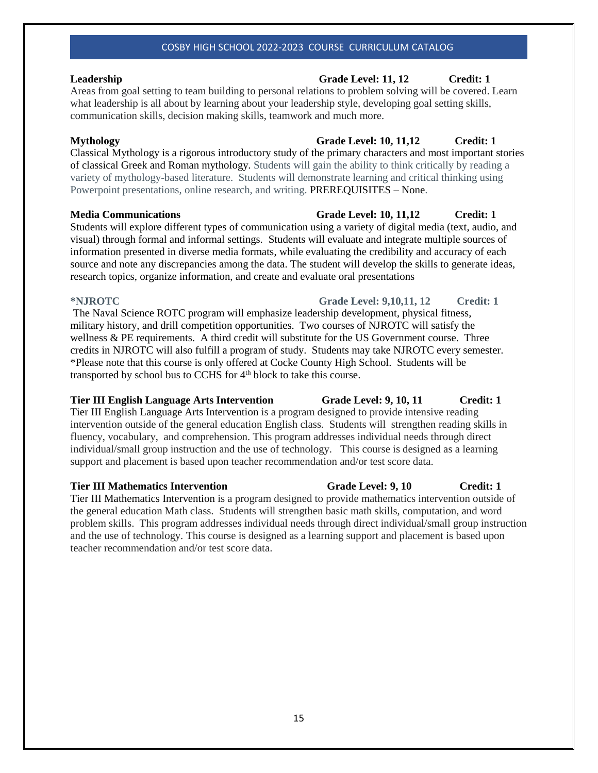Areas from goal setting to team building to personal relations to problem solving will be covered. Learn what leadership is all about by learning about your leadership style, developing goal setting skills, communication skills, decision making skills, teamwork and much more.

Classical Mythology is a rigorous introductory study of the primary characters and most important stories of classical Greek and Roman mythology. Students will gain the ability to think critically by reading a variety of mythology-based literature. Students will demonstrate learning and critical thinking using Powerpoint presentations, online research, and writing. PREREQUISITES – None.

# **Media Communications Grade Level: 10, 11,12 Credit: 1**

Students will explore different types of communication using a variety of digital media (text, audio, and visual) through formal and informal settings. Students will evaluate and integrate multiple sources of information presented in diverse media formats, while evaluating the credibility and accuracy of each source and note any discrepancies among the data. The student will develop the skills to generate ideas, research topics, organize information, and create and evaluate oral presentations

### **\*NJROTC Grade Level: 9,10,11, 12 Credit: 1**

The Naval Science ROTC program will emphasize leadership development, physical fitness, military history, and drill competition opportunities. Two courses of NJROTC will satisfy the wellness & PE requirements. A third credit will substitute for the US Government course. Three credits in NJROTC will also fulfill a program of study. Students may take NJROTC every semester. \*Please note that this course is only offered at Cocke County High School. Students will be transported by school bus to CCHS for 4<sup>th</sup> block to take this course.

# **Tier III English Language Arts Intervention Grade Level: 9, 10, 11 Credit: 1**

Tier III English Language Arts Intervention is a program designed to provide intensive reading intervention outside of the general education English class. Students will strengthen reading skills in fluency, vocabulary, and comprehension. This program addresses individual needs through direct individual/small group instruction and the use of technology. This course is designed as a learning support and placement is based upon teacher recommendation and/or test score data.

# **Tier III Mathematics Intervention Grade Level: 9, 10 Credit: 1**

Tier III Mathematics Intervention is a program designed to provide mathematics intervention outside of the general education Math class. Students will strengthen basic math skills, computation, and word problem skills. This program addresses individual needs through direct individual/small group instruction and the use of technology. This course is designed as a learning support and placement is based upon teacher recommendation and/or test score data.

# **Leadership Grade Level: 11, 12 Credit: 1**

# **Mythology Grade Level: 10, 11,12 Credit: 1**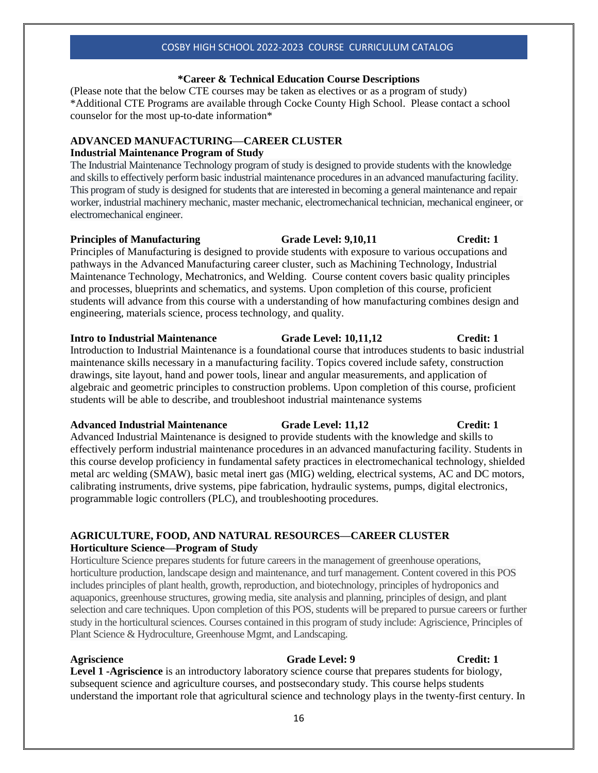# **\*Career & Technical Education Course Descriptions**

(Please note that the below CTE courses may be taken as electives or as a program of study) \*Additional CTE Programs are available through Cocke County High School. Please contact a school counselor for the most up-to-date information\*

# **ADVANCED MANUFACTURING—CAREER CLUSTER**

## **Industrial Maintenance Program of Study**

The Industrial Maintenance Technology program of study is designed to provide students with the knowledge and skills to effectively perform basic industrial maintenance procedures in an advanced manufacturing facility. This program of study is designed for students that are interested in becoming a general maintenance and repair worker, industrial machinery mechanic, master mechanic, electromechanical technician, mechanical engineer, or electromechanical engineer.

# **Principles of Manufacturing 6. Crade Level: 9.10.11 Credit: 1**

Principles of Manufacturing is designed to provide students with exposure to various occupations and pathways in the Advanced Manufacturing career cluster, such as Machining Technology, Industrial Maintenance Technology, Mechatronics, and Welding. Course content covers basic quality principles and processes, blueprints and schematics, and systems. Upon completion of this course, proficient students will advance from this course with a understanding of how manufacturing combines design and engineering, materials science, process technology, and quality.

# **Intro to Industrial Maintenance Crade Level: 10,11,12 Credit: 1**

Introduction to Industrial Maintenance is a foundational course that introduces students to basic industrial maintenance skills necessary in a manufacturing facility. Topics covered include safety, construction drawings, site layout, hand and power tools, linear and angular measurements, and application of algebraic and geometric principles to construction problems. Upon completion of this course, proficient students will be able to describe, and troubleshoot industrial maintenance systems

# **Advanced Industrial Maintenance Grade Level: 11,12 Credit: 1**

Advanced Industrial Maintenance is designed to provide students with the knowledge and skills to effectively perform industrial maintenance procedures in an advanced manufacturing facility. Students in this course develop proficiency in fundamental safety practices in electromechanical technology, shielded metal arc welding (SMAW), basic metal inert gas (MIG) welding, electrical systems, AC and DC motors, calibrating instruments, drive systems, pipe fabrication, hydraulic systems, pumps, digital electronics, programmable logic controllers (PLC), and troubleshooting procedures.

# **AGRICULTURE, FOOD, AND NATURAL RESOURCES—CAREER CLUSTER Horticulture Science—Program of Study**

Horticulture Science prepares students for future careers in the management of greenhouse operations, horticulture production, landscape design and maintenance, and turf management. Content covered in this POS includes principles of plant health, growth, reproduction, and biotechnology, principles of hydroponics and aquaponics, greenhouse structures, growing media, site analysis and planning, principles of design, and plant selection and care techniques. Upon completion of this POS, students will be prepared to pursue careers or further study in the horticultural sciences. Courses contained in this program of study include: Agriscience, Principles of Plant Science & Hydroculture, Greenhouse Mgmt, and Landscaping.

# **Agriscience** Grade Level: 9 Credit: 1

**Level 1 -Agriscience** is an introductory laboratory science course that prepares students for biology, subsequent science and agriculture courses, and postsecondary study. This course helps students understand the important role that agricultural science and technology plays in the twenty-first century. In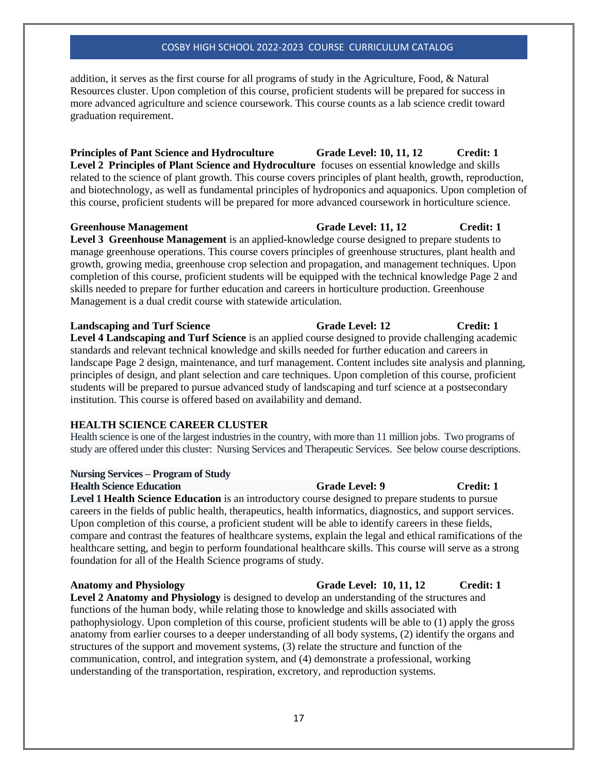addition, it serves as the first course for all programs of study in the Agriculture, Food, & Natural Resources cluster. Upon completion of this course, proficient students will be prepared for success in more advanced agriculture and science coursework. This course counts as a lab science credit toward graduation requirement.

**Principles of Pant Science and Hydroculture Grade Level: 10, 11, 12 Credit: 1 Level 2 Principles of Plant Science and Hydroculture** focuses on essential knowledge and skills related to the science of plant growth. This course covers principles of plant health, growth, reproduction, and biotechnology, as well as fundamental principles of hydroponics and aquaponics. Upon completion of this course, proficient students will be prepared for more advanced coursework in horticulture science.

### **Greenhouse Management Grade Level: 11, 12 Credit: 1**

**Level 3 Greenhouse Management** is an applied-knowledge course designed to prepare students to manage greenhouse operations. This course covers principles of greenhouse structures, plant health and growth, growing media, greenhouse crop selection and propagation, and management techniques. Upon completion of this course, proficient students will be equipped with the technical knowledge Page 2 and skills needed to prepare for further education and careers in horticulture production. Greenhouse Management is a dual credit course with statewide articulation.

# **Landscaping and Turf Science Grade Level: 12 Credit: 1**

**Level 4 Landscaping and Turf Science** is an applied course designed to provide challenging academic standards and relevant technical knowledge and skills needed for further education and careers in landscape Page 2 design, maintenance, and turf management. Content includes site analysis and planning, principles of design, and plant selection and care techniques. Upon completion of this course, proficient students will be prepared to pursue advanced study of landscaping and turf science at a postsecondary institution. This course is offered based on availability and demand.

# **HEALTH SCIENCE CAREER CLUSTER**

Health science is one of the largest industries in the country, with more than 11 million jobs. Two programs of study are offered under this cluster: Nursing Services and Therapeutic Services. See below course descriptions.

### **Nursing Services – Program of Study**

### **Health Science Education Grade Level: 9 Credit: 1**

Level 1 Health Science Education is an introductory course designed to prepare students to pursue careers in the fields of public health, therapeutics, health informatics, diagnostics, and support services. Upon completion of this course, a proficient student will be able to identify careers in these fields, compare and contrast the features of healthcare systems, explain the legal and ethical ramifications of the healthcare setting, and begin to perform foundational healthcare skills. This course will serve as a strong foundation for all of the Health Science programs of study.

**Anatomy and Physiology Grade Level: 10, 11, 12 Credit: 1 Level 2 Anatomy and Physiology** is designed to develop an understanding of the structures and functions of the human body, while relating those to knowledge and skills associated with pathophysiology. Upon completion of this course, proficient students will be able to (1) apply the gross anatomy from earlier courses to a deeper understanding of all body systems, (2) identify the organs and structures of the support and movement systems, (3) relate the structure and function of the communication, control, and integration system, and (4) demonstrate a professional, working understanding of the transportation, respiration, excretory, and reproduction systems.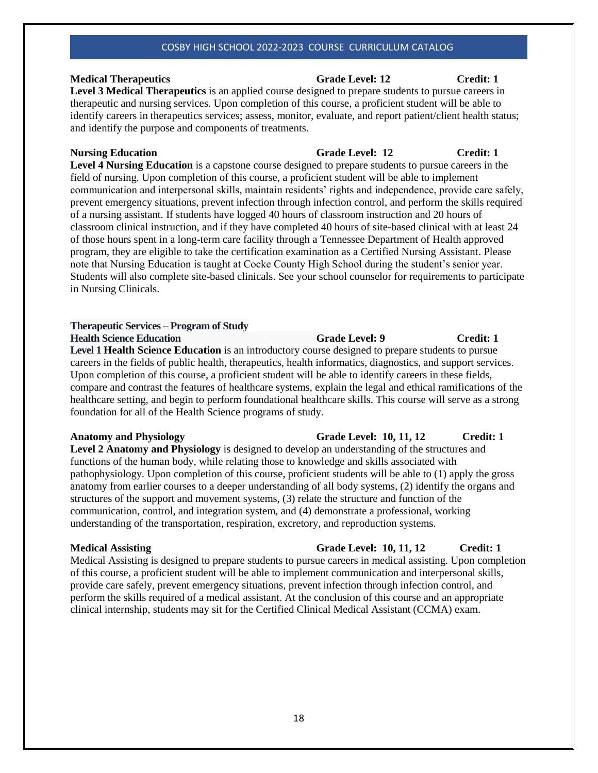# **Medical Therapeutics Grade Level: 12 Credit: 1**

**Level 3 Medical Therapeutics** is an applied course designed to prepare students to pursue careers in therapeutic and nursing services. Upon completion of this course, a proficient student will be able to identify careers in therapeutics services; assess, monitor, evaluate, and report patient/client health status; and identify the purpose and components of treatments.

**Level 4 Nursing Education** is a capstone course designed to prepare students to pursue careers in the field of nursing. Upon completion of this course, a proficient student will be able to implement communication and interpersonal skills, maintain residents' rights and independence, provide care safely, prevent emergency situations, prevent infection through infection control, and perform the skills required of a nursing assistant. If students have logged 40 hours of classroom instruction and 20 hours of classroom clinical instruction, and if they have completed 40 hours of site-based clinical with at least 24 of those hours spent in a long-term care facility through a Tennessee Department of Health approved program, they are eligible to take the certification examination as a Certified Nursing Assistant. Please note that Nursing Education is taught at Cocke County High School during the student's senior year. Students will also complete site-based clinicals. See your school counselor for requirements to participate in Nursing Clinicals.

# **Therapeutic Services – Program of Study**

**Health Science Education Grade Level: 9 Credit: 1** 

**Level 1 Health Science Education** is an introductory course designed to prepare students to pursue careers in the fields of public health, therapeutics, health informatics, diagnostics, and support services. Upon completion of this course, a proficient student will be able to identify careers in these fields, compare and contrast the features of healthcare systems, explain the legal and ethical ramifications of the healthcare setting, and begin to perform foundational healthcare skills. This course will serve as a strong foundation for all of the Health Science programs of study.

**Level 2 Anatomy and Physiology** is designed to develop an understanding of the structures and functions of the human body, while relating those to knowledge and skills associated with pathophysiology. Upon completion of this course, proficient students will be able to (1) apply the gross anatomy from earlier courses to a deeper understanding of all body systems, (2) identify the organs and structures of the support and movement systems, (3) relate the structure and function of the communication, control, and integration system, and (4) demonstrate a professional, working understanding of the transportation, respiration, excretory, and reproduction systems.

# **Medical Assisting Grade Level: 10, 11, 12** Credit: 1

Medical Assisting is designed to prepare students to pursue careers in medical assisting. Upon completion of this course, a proficient student will be able to implement communication and interpersonal skills, provide care safely, prevent emergency situations, prevent infection through infection control, and perform the skills required of a medical assistant. At the conclusion of this course and an appropriate clinical internship, students may sit for the Certified Clinical Medical Assistant (CCMA) exam.

# **Anatomy and Physiology Grade Level: 10, 11, 12 Credit: 1**

# **Nursing Education Grade Level: 12** Credit: 1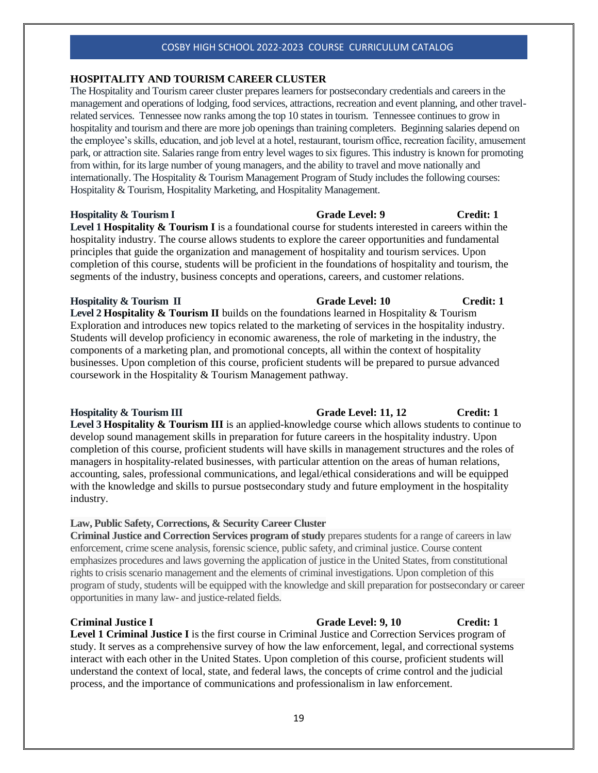### **HOSPITALITY AND TOURISM CAREER CLUSTER**

The Hospitality and Tourism career cluster prepares learners for postsecondary credentials and careers in the management and operations of lodging, food services, attractions, recreation and event planning, and other travelrelated services. Tennessee now ranks among the top 10 states in tourism. Tennessee continues to grow in hospitality and tourism and there are more job openings than training completers. Beginning salaries depend on the employee's skills, education, and job level at a hotel, restaurant, tourism office, recreation facility, amusement park, or attraction site. Salaries range from entry level wages to six figures. This industry is known for promoting from within, for its large number of young managers, and the ability to travel and move nationally and internationally. The Hospitality & Tourism Management Program of Study includes the following courses: Hospitality & Tourism, Hospitality Marketing, and Hospitality Management.

# **Hospitality & Tourism I Grade Level: 9 Credit: 1 Level 1 Hospitality & Tourism I** is a foundational course for students interested in careers within the hospitality industry. The course allows students to explore the career opportunities and fundamental principles that guide the organization and management of hospitality and tourism services. Upon completion of this course, students will be proficient in the foundations of hospitality and tourism, the segments of the industry, business concepts and operations, careers, and customer relations.

**Hospitality & Tourism II Grade Level: 10 Grade Level: 10 Credit: 1 Level 2 Hospitality & Tourism II** builds on the foundations learned in Hospitality & Tourism Exploration and introduces new topics related to the marketing of services in the hospitality industry. Students will develop proficiency in economic awareness, the role of marketing in the industry, the components of a marketing plan, and promotional concepts, all within the context of hospitality businesses. Upon completion of this course, proficient students will be prepared to pursue advanced coursework in the Hospitality & Tourism Management pathway.

**Hospitality & Tourism III Grade Level: 11, 12 Credit: 1 Level 3 Hospitality & Tourism III** is an applied-knowledge course which allows students to continue to develop sound management skills in preparation for future careers in the hospitality industry. Upon completion of this course, proficient students will have skills in management structures and the roles of managers in hospitality-related businesses, with particular attention on the areas of human relations, accounting, sales, professional communications, and legal/ethical considerations and will be equipped with the knowledge and skills to pursue postsecondary study and future employment in the hospitality industry.

### **Law, Public Safety, Corrections, & Security Career Cluster**

**Criminal Justice and Correction Services program of study** prepares students for a range of careers in law enforcement, crime scene analysis, forensic science, public safety, and criminal justice. Course content emphasizes procedures and laws governing the application of justice in the United States, from constitutional rights to crisis scenario management and the elements of criminal investigations. Upon completion of this program of study, students will be equipped with the knowledge and skill preparation for postsecondary or career opportunities in many law- and justice-related fields.

### **Criminal Justice I Grade Level: 9, 10 Credit: 1**

**Level 1 Criminal Justice I** is the first course in Criminal Justice and Correction Services program of study. It serves as a comprehensive survey of how the law enforcement, legal, and correctional systems interact with each other in the United States. Upon completion of this course, proficient students will understand the context of local, state, and federal laws, the concepts of crime control and the judicial process, and the importance of communications and professionalism in law enforcement.